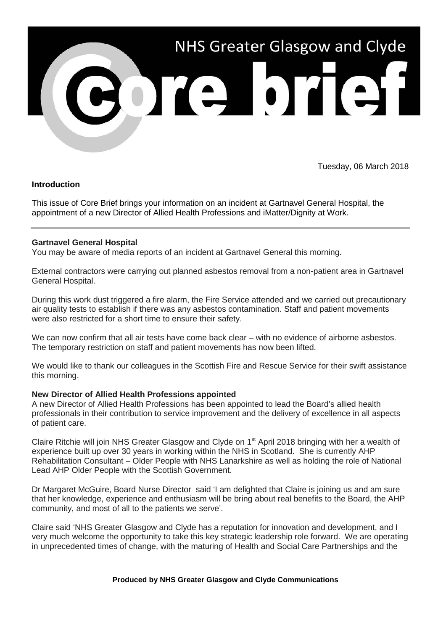

Tuesday, 06 March 2018

# **Introduction**

This issue of Core Brief brings your information on an incident at Gartnavel General Hospital, the appointment of a new Director of Allied Health Professions and iMatter/Dignity at Work.

## **Gartnavel General Hospital**

You may be aware of media reports of an incident at Gartnavel General this morning.

External contractors were carrying out planned asbestos removal from a non-patient area in Gartnavel General Hospital.

During this work dust triggered a fire alarm, the Fire Service attended and we carried out precautionary air quality tests to establish if there was any asbestos contamination. Staff and patient movements were also restricted for a short time to ensure their safety.

We can now confirm that all air tests have come back clear – with no evidence of airborne asbestos. The temporary restriction on staff and patient movements has now been lifted.

We would like to thank our colleagues in the Scottish Fire and Rescue Service for their swift assistance this morning.

## **New Director of Allied Health Professions appointed**

A new Director of Allied Health Professions has been appointed to lead the Board's allied health professionals in their contribution to service improvement and the delivery of excellence in all aspects of patient care.

Claire Ritchie will join NHS Greater Glasgow and Clyde on 1<sup>st</sup> April 2018 bringing with her a wealth of experience built up over 30 years in working within the NHS in Scotland. She is currently AHP Rehabilitation Consultant – Older People with NHS Lanarkshire as well as holding the role of National Lead AHP Older People with the Scottish Government.

Dr Margaret McGuire, Board Nurse Director said 'I am delighted that Claire is joining us and am sure that her knowledge, experience and enthusiasm will be bring about real benefits to the Board, the AHP community, and most of all to the patients we serve'.

Claire said 'NHS Greater Glasgow and Clyde has a reputation for innovation and development, and I very much welcome the opportunity to take this key strategic leadership role forward. We are operating in unprecedented times of change, with the maturing of Health and Social Care Partnerships and the

#### **Produced by NHS Greater Glasgow and Clyde Communications**